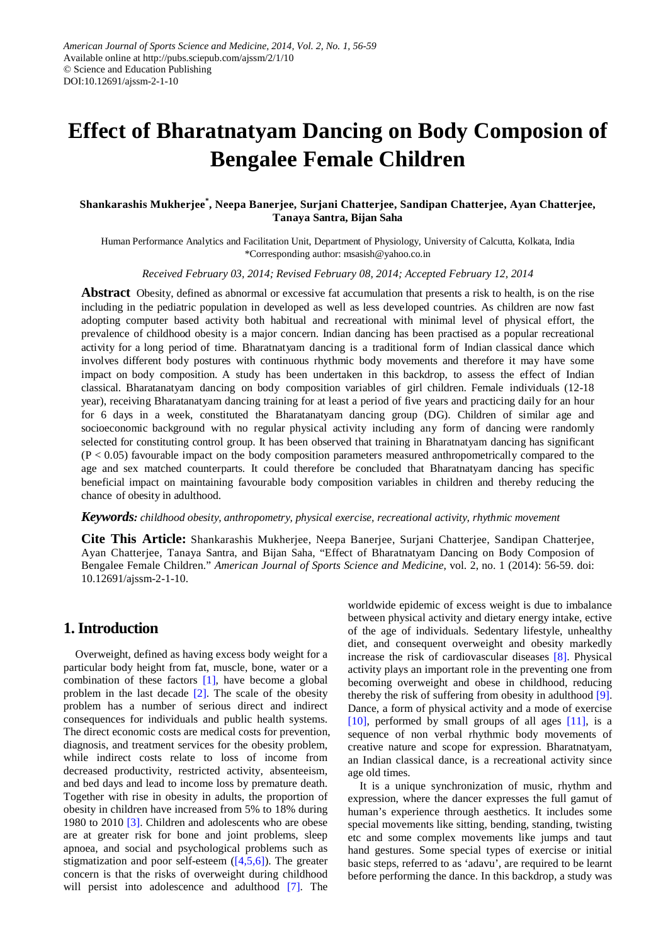# **Effect of Bharatnatyam Dancing on Body Composion of Bengalee Female Children**

#### **Shankarashis Mukherjee\* , Neepa Banerjee, Surjani Chatterjee, Sandipan Chatterjee, Ayan Chatterjee, Tanaya Santra, Bijan Saha**

Human Performance Analytics and Facilitation Unit, Department of Physiology, University of Calcutta, Kolkata, India \*Corresponding author: msasish@yahoo.co.in

*Received February 03, 2014; Revised February 08, 2014; Accepted February 12, 2014*

**Abstract** Obesity, defined as abnormal or excessive fat accumulation that presents a risk to health, is on the rise including in the pediatric population in developed as well as less developed countries. As children are now fast adopting computer based activity both habitual and recreational with minimal level of physical effort, the prevalence of childhood obesity is a major concern. Indian dancing has been practised as a popular recreational activity for a long period of time. Bharatnatyam dancing is a traditional form of Indian classical dance which involves different body postures with continuous rhythmic body movements and therefore it may have some impact on body composition. A study has been undertaken in this backdrop, to assess the effect of Indian classical. Bharatanatyam dancing on body composition variables of girl children. Female individuals (12-18 year), receiving Bharatanatyam dancing training for at least a period of five years and practicing daily for an hour for 6 days in a week, constituted the Bharatanatyam dancing group (DG). Children of similar age and socioeconomic background with no regular physical activity including any form of dancing were randomly selected for constituting control group. It has been observed that training in Bharatnatyam dancing has significant  $(P < 0.05)$  favourable impact on the body composition parameters measured anthropometrically compared to the age and sex matched counterparts. It could therefore be concluded that Bharatnatyam dancing has specific beneficial impact on maintaining favourable body composition variables in children and thereby reducing the chance of obesity in adulthood.

#### *Keywords: childhood obesity, anthropometry, physical exercise, recreational activity, rhythmic movement*

**Cite This Article:** Shankarashis Mukherjee, Neepa Banerjee, Surjani Chatterjee, Sandipan Chatterjee, Ayan Chatterjee, Tanaya Santra, and Bijan Saha, "Effect of Bharatnatyam Dancing on Body Composion of Bengalee Female Children." *American Journal of Sports Science and Medicine*, vol. 2, no. 1 (2014): 56-59. doi: 10.12691/ajssm-2-1-10.

### **1. Introduction**

Overweight, defined as having excess body weight for a particular body height from fat, muscle, bone, water or a combination of these factors [\[1\],](#page-2-0) have become a global problem in the last decade [\[2\].](#page-2-1) The scale of the obesity problem has a number of serious direct and indirect consequences for individuals and public health systems. The direct economic costs are medical costs for prevention, diagnosis, and treatment services for the obesity problem, while indirect costs relate to loss of income from decreased productivity, restricted activity, absenteeism, and bed days and lead to income loss by premature death. Together with rise in obesity in adults, the proportion of obesity in children have increased from 5% to 18% during 1980 to 2010 [\[3\].](#page-2-2) Children and adolescents who are obese are at greater risk for bone and joint problems, sleep apnoea, and social and psychological problems such as stigmatization and poor self-esteem  $([4,5,6])$ . The greater concern is that the risks of overweight during childhood will persist into adolescence and adulthood [\[7\].](#page-2-4) The

worldwide epidemic of excess weight is due to imbalance between physical activity and dietary energy intake, ective of the age of individuals. Sedentary lifestyle, unhealthy diet, and consequent overweight and obesity markedly increase the risk of cardiovascular diseases [\[8\].](#page-2-5) Physical activity plays an important role in the preventing one from becoming overweight and obese in childhood, reducing thereby the risk of suffering from obesity in adulthood [\[9\].](#page-2-6) Dance, a form of physical activity and a mode of exercise [\[10\],](#page-3-0) performed by small groups of all ages  $[11]$ , is a sequence of non verbal rhythmic body movements of creative nature and scope for expression. Bharatnatyam, an Indian classical dance, is a recreational activity since age old times.

It is a unique synchronization of music, rhythm and expression, where the dancer expresses the full gamut of human's experience through aesthetics. It includes some special movements like sitting, bending, standing, twisting etc and some complex movements like jumps and taut hand gestures. Some special types of exercise or initial basic steps, referred to as 'adavu', are required to be learnt before performing the dance. In this backdrop, a study was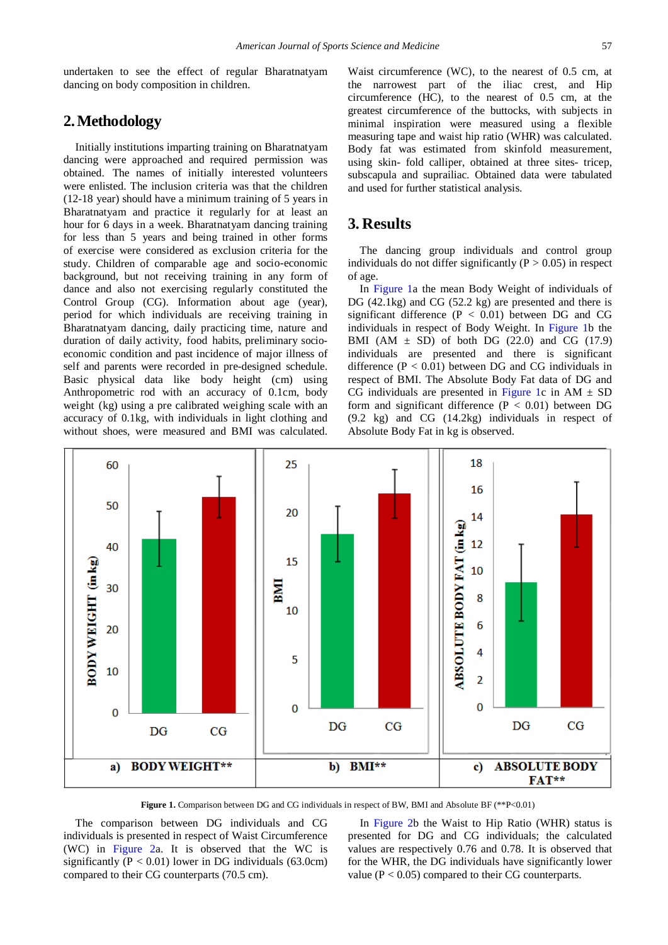undertaken to see the effect of regular Bharatnatyam dancing on body composition in children.

# **2.Methodology**

Initially institutions imparting training on Bharatnatyam dancing were approached and required permission was obtained. The names of initially interested volunteers were enlisted. The inclusion criteria was that the children (12-18 year) should have a minimum training of 5 years in Bharatnatyam and practice it regularly for at least an hour for 6 days in a week. Bharatnatyam dancing training for less than 5 years and being trained in other forms of exercise were considered as exclusion criteria for the study. Children of comparable age and socio-economic background, but not receiving training in any form of dance and also not exercising regularly constituted the Control Group (CG). Information about age (year), period for which individuals are receiving training in Bharatnatyam dancing, daily practicing time, nature and duration of daily activity, food habits, preliminary socioeconomic condition and past incidence of major illness of self and parents were recorded in pre-designed schedule. Basic physical data like body height (cm) using Anthropometric rod with an accuracy of 0.1cm, body weight (kg) using a pre calibrated weighing scale with an accuracy of 0.1kg, with individuals in light clothing and without shoes, were measured and BMI was calculated.

Waist circumference (WC), to the nearest of 0.5 cm, at the narrowest part of the iliac crest, and Hip circumference (HC), to the nearest of 0.5 cm, at the greatest circumference of the buttocks, with subjects in minimal inspiration were measured using a flexible measuring tape and waist hip ratio (WHR) was calculated. Body fat was estimated from skinfold measurement, using skin- fold calliper, obtained at three sites- tricep, subscapula and suprailiac. Obtained data were tabulated and used for further statistical analysis.

# **3. Results**

The dancing group individuals and control group individuals do not differ significantly  $(P > 0.05)$  in respect of age.

In [Figure 1a](#page-1-0) the mean Body Weight of individuals of DG (42.1kg) and CG (52.2 kg) are presented and there is significant difference  $(P < 0.01)$  between DG and CG individuals in respect of Body Weight. In [Figure 1b](#page-1-0) the BMI (AM  $\pm$  SD) of both DG (22.0) and CG (17.9) individuals are presented and there is significant difference  $(P < 0.01)$  between DG and CG individuals in respect of BMI. The Absolute Body Fat data of DG and CG individuals are presented in [Figure 1c](#page-1-0) in  $AM \pm SD$ form and significant difference ( $P < 0.01$ ) between DG (9.2 kg) and CG (14.2kg) individuals in respect of Absolute Body Fat in kg is observed.

<span id="page-1-0"></span>

**Figure 1.** Comparison between DG and CG individuals in respect of BW, BMI and Absolute BF (\*\*P<0.01)

The comparison between DG individuals and CG individuals is presented in respect of Waist Circumference (WC) in [Figure 2a](#page-2-7). It is observed that the WC is significantly  $(P < 0.01)$  lower in DG individuals  $(63.0cm)$ compared to their CG counterparts (70.5 cm).

In [Figure 2b](#page-2-7) the Waist to Hip Ratio (WHR) status is presented for DG and CG individuals; the calculated values are respectively 0.76 and 0.78. It is observed that for the WHR, the DG individuals have significantly lower value ( $P < 0.05$ ) compared to their CG counterparts.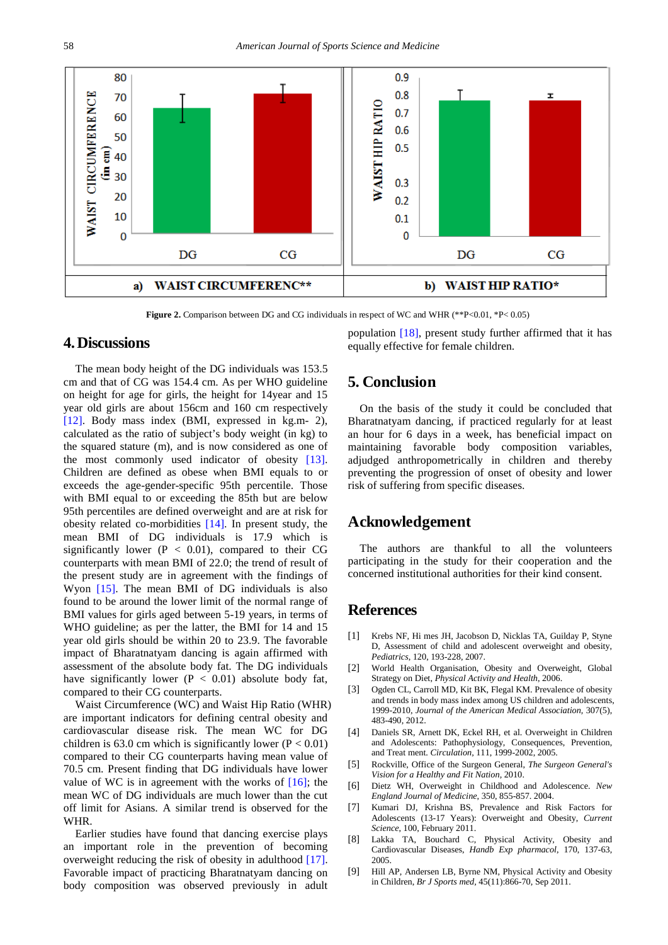<span id="page-2-7"></span>

**Figure 2.** Comparison between DG and CG individuals in respect of WC and WHR (\*\*P<0.01, \*P<0.05)

#### **4.Discussions**

The mean body height of the DG individuals was 153.5 cm and that of CG was 154.4 cm. As per WHO guideline on height for age for girls, the height for 14year and 15 year old girls are about 156cm and 160 cm respectively [\[12\].](#page-3-2) Body mass index (BMI, expressed in kg.m- 2), calculated as the ratio of subject's body weight (in kg) to the squared stature (m), and is now considered as one of the most commonly used indicator of obesity [\[13\].](#page-3-3) Children are defined as obese when BMI equals to or exceeds the age-gender-specific 95th percentile. Those with BMI equal to or exceeding the 85th but are below 95th percentiles are defined overweight and are at risk for obesity related co-morbidities [\[14\].](#page-3-4) In present study, the mean BMI of DG individuals is 17.9 which is significantly lower ( $P < 0.01$ ), compared to their CG counterparts with mean BMI of 22.0; the trend of result of the present study are in agreement with the findings of Wyon [\[15\].](#page-3-5) The mean BMI of DG individuals is also found to be around the lower limit of the normal range of BMI values for girls aged between 5-19 years, in terms of WHO guideline; as per the latter, the BMI for 14 and 15 year old girls should be within 20 to 23.9. The favorable impact of Bharatnatyam dancing is again affirmed with assessment of the absolute body fat. The DG individuals have significantly lower ( $P < 0.01$ ) absolute body fat, compared to their CG counterparts.

Waist Circumference (WC) and Waist Hip Ratio (WHR) are important indicators for defining central obesity and cardiovascular disease risk. The mean WC for DG children is 63.0 cm which is significantly lower ( $P < 0.01$ ) compared to their CG counterparts having mean value of 70.5 cm. Present finding that DG individuals have lower value of WC is in agreement with the works of  $[16]$ ; the mean WC of DG individuals are much lower than the cut off limit for Asians. A similar trend is observed for the WHR.

Earlier studies have found that dancing exercise plays an important role in the prevention of becoming overweight reducing the risk of obesity in adulthood [\[17\].](#page-3-7) Favorable impact of practicing Bharatnatyam dancing on body composition was observed previously in adult population [\[18\],](#page-3-8) present study further affirmed that it has equally effective for female children.

# **5. Conclusion**

On the basis of the study it could be concluded that Bharatnatyam dancing, if practiced regularly for at least an hour for 6 days in a week, has beneficial impact on maintaining favorable body composition variables, adjudged anthropometrically in children and thereby preventing the progression of onset of obesity and lower risk of suffering from specific diseases.

#### **Acknowledgement**

The authors are thankful to all the volunteers participating in the study for their cooperation and the concerned institutional authorities for their kind consent.

# **References**

- <span id="page-2-0"></span>[1] Krebs NF, Hi mes JH, Jacobson D, Nicklas TA, Guilday P, Styne D, Assessment of child and adolescent overweight and obesity, *Pediatrics*, 120, 193-228, 2007.
- <span id="page-2-1"></span>[2] World Health Organisation, Obesity and Overweight, Global Strategy on Diet, *Physical Activity and Health*, 2006.
- <span id="page-2-2"></span>[3] Ogden CL, Carroll MD, Kit BK, Flegal KM. Prevalence of obesity and trends in body mass index among US children and adolescents, 1999-2010, *Journal of the American Medical Association,* 307(5), 483-490, 2012.
- <span id="page-2-3"></span>[4] Daniels SR, Arnett DK, Eckel RH, et al. Overweight in Children and Adolescents: Pathophysiology, Consequences, Prevention, and Treat ment. *Circulation,* 111, 1999-2002, 2005.
- [5] Rockville, Office of the Surgeon General, *The Surgeon General's Vision for a Healthy and Fit Nation,* 2010.
- [6] Dietz WH, Overweight in Childhood and Adolescence. *New England Journal of Medicine*, 350, 855-857. 2004.
- <span id="page-2-4"></span>[7] Kumari DJ, Krishna BS, Prevalence and Risk Factors for Adolescents (13-17 Years): Overweight and Obesity, *Current Science*, 100, February 2011.
- <span id="page-2-5"></span>[8] Lakka TA, Bouchard C, Physical Activity, Obesity and Cardiovascular Diseases, *Handb Exp pharmacol*, 170, 137-63, 2005.
- <span id="page-2-6"></span>[9] Hill AP, Andersen LB, Byrne NM, Physical Activity and Obesity in Children, *Br J Sports med,* 45(11):866-70, Sep 2011.